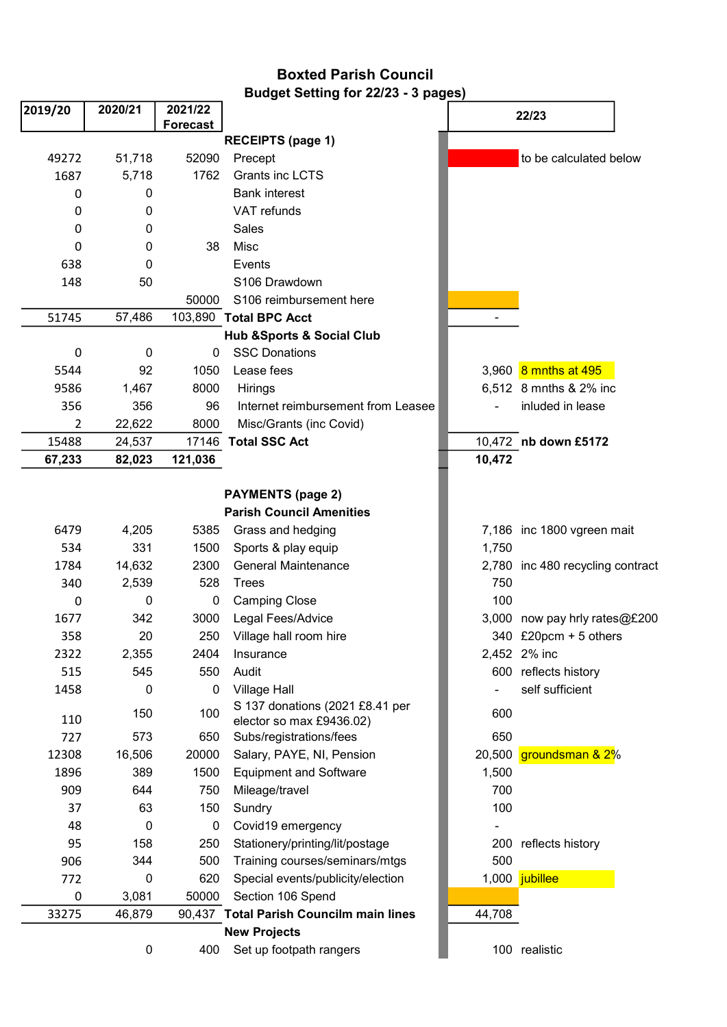## Boxted Parish Council Budget Setting for 22/23 - 3 pages)

| 2019/20     | 2020/21      | 2021/22         |                                                             | 22/23          |                            |
|-------------|--------------|-----------------|-------------------------------------------------------------|----------------|----------------------------|
|             |              | <b>Forecast</b> |                                                             |                |                            |
|             |              |                 | <b>RECEIPTS (page 1)</b>                                    |                |                            |
| 49272       | 51,718       | 52090           | Precept                                                     |                | to be calculated below     |
| 1687        | 5,718        | 1762            | Grants inc LCTS                                             |                |                            |
| 0           | 0            |                 | <b>Bank interest</b>                                        |                |                            |
| 0           | 0            |                 | VAT refunds                                                 |                |                            |
| 0           | 0            |                 | Sales                                                       |                |                            |
| 0           | 0            | 38              | Misc                                                        |                |                            |
| 638         | 0            |                 | Events                                                      |                |                            |
| 148         | 50           |                 | S106 Drawdown                                               |                |                            |
|             |              | 50000           | S106 reimbursement here                                     |                |                            |
| 51745       | 57,486       |                 | 103,890 Total BPC Acct                                      |                |                            |
|             |              |                 | <b>Hub &amp;Sports &amp; Social Club</b>                    |                |                            |
| $\mathbf 0$ | $\mathbf 0$  | $\mathbf 0$     | <b>SSC Donations</b>                                        |                |                            |
| 5544        | 92           | 1050            | Lease fees                                                  |                | 3,960 8 mnths at 495       |
| 9586        | 1,467        | 8000            | Hirings                                                     |                | 6,512 8 mnths & 2% inc     |
| 356         | 356          | 96              | Internet reimbursement from Leasee                          |                | inluded in lease           |
| 2           | 22,622       | 8000            | Misc/Grants (inc Covid)                                     |                |                            |
| 15488       | 24,537       |                 | 17146 Total SSC Act                                         |                | 10,472 nb down £5172       |
| 67,233      | 82,023       | 121,036         |                                                             | 10,472         |                            |
|             |              |                 |                                                             |                |                            |
|             |              |                 | <b>PAYMENTS (page 2)</b><br><b>Parish Council Amenities</b> |                |                            |
|             |              | 5385            |                                                             |                |                            |
| 6479<br>534 | 4,205<br>331 | 1500            | Grass and hedging                                           | 7,186<br>1,750 | inc 1800 vgreen mait       |
| 1784        | 14,632       | 2300            | Sports & play equip<br><b>General Maintenance</b>           | 2,780          | inc 480 recycling contract |
| 340         | 2,539        | 528             | <b>Trees</b>                                                | 750            |                            |
| 0           | 0            | 0               | <b>Camping Close</b>                                        | 100            |                            |
| 1677        | 342          | 3000            | Legal Fees/Advice                                           | 3,000          | now pay hrly rates@£200    |
| 358         | 20           | 250             | Village hall room hire                                      |                | 340 £20pcm + 5 others      |
| 2322        | 2,355        | 2404            | Insurance                                                   |                | 2,452 2% inc               |
| 515         | 545          | 550             | Audit                                                       |                | 600 reflects history       |
| 1458        | 0            | $\pmb{0}$       | <b>Village Hall</b>                                         |                | self sufficient            |
|             |              |                 | S 137 donations (2021 £8.41 per                             |                |                            |
| 110         | 150          | 100             | elector so max £9436.02)                                    | 600            |                            |
| 727         | 573          | 650             | Subs/registrations/fees                                     | 650            |                            |
| 12308       | 16,506       | 20000           | Salary, PAYE, NI, Pension                                   | 20,500         | groundsman & 2%            |
| 1896        | 389          | 1500            | <b>Equipment and Software</b>                               | 1,500          |                            |
| 909         | 644          | 750             | Mileage/travel                                              | 700            |                            |
| 37          | 63           | 150             | Sundry                                                      | 100            |                            |
| 48          | 0            | 0               | Covid19 emergency                                           |                |                            |
| 95          | 158          | 250             | Stationery/printing/lit/postage                             |                | 200 reflects history       |
| 906         | 344          | 500             | Training courses/seminars/mtgs                              | 500            |                            |
| 772         | 0            | 620             | Special events/publicity/election                           |                | 1,000 jubillee             |
| 0           | 3,081        | 50000           | Section 106 Spend                                           |                |                            |
| 33275       | 46,879       |                 | 90,437 Total Parish Councilm main lines                     | 44,708         |                            |
|             |              |                 | <b>New Projects</b>                                         |                |                            |
|             | 0            | 400             | Set up footpath rangers                                     |                | 100 realistic              |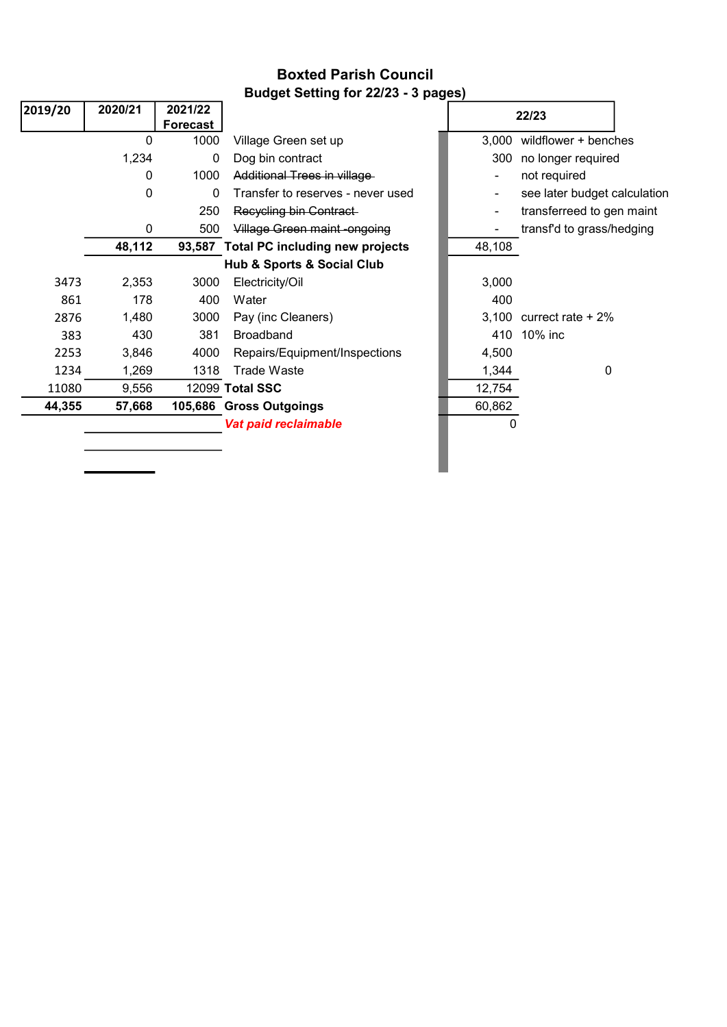## Boxted Parish Council Budget Setting for 22/23 - 3 pages)

| 2019/20                                   | 2020/21 | 2021/22         |                                        |        | 22/23                        |  |
|-------------------------------------------|---------|-----------------|----------------------------------------|--------|------------------------------|--|
|                                           |         | <b>Forecast</b> |                                        |        |                              |  |
|                                           | 0       | 1000            | Village Green set up                   | 3,000  | wildflower + benches         |  |
|                                           | 1,234   | 0               | Dog bin contract                       | 300    | no longer required           |  |
|                                           | 0       | 1000            | Additional Trees in village            |        | not required                 |  |
|                                           | 0       | 0               | Transfer to reserves - never used      |        | see later budget calculation |  |
|                                           |         | 250             | Recycling bin Contract                 |        | transferreed to gen maint    |  |
|                                           | 0       | 500             | Village Green maint-ongoing            |        | transf'd to grass/hedging    |  |
|                                           | 48,112  |                 | 93,587 Total PC including new projects | 48,108 |                              |  |
| <b>Hub &amp; Sports &amp; Social Club</b> |         |                 |                                        |        |                              |  |
| 3473                                      | 2,353   | 3000            | Electricity/Oil                        | 3,000  |                              |  |
| 861                                       | 178     | 400             | Water                                  | 400    |                              |  |
| 2876                                      | 1,480   | 3000            | Pay (inc Cleaners)                     | 3,100  | currect rate $+2\%$          |  |
| 383                                       | 430     | 381             | <b>Broadband</b>                       | 410    | 10% inc                      |  |
| 2253                                      | 3,846   | 4000            | Repairs/Equipment/Inspections          | 4,500  |                              |  |
| 1234                                      | 1,269   | 1318            | <b>Trade Waste</b>                     | 1,344  | 0                            |  |
| 11080                                     | 9,556   |                 | 12099 Total SSC                        | 12,754 |                              |  |
| 44,355                                    | 57,668  |                 | 105,686 Gross Outgoings                | 60,862 |                              |  |
|                                           |         |                 | Vat paid reclaimable                   | 0      |                              |  |
|                                           |         |                 |                                        |        |                              |  |
|                                           |         |                 |                                        |        |                              |  |
|                                           |         |                 |                                        |        |                              |  |